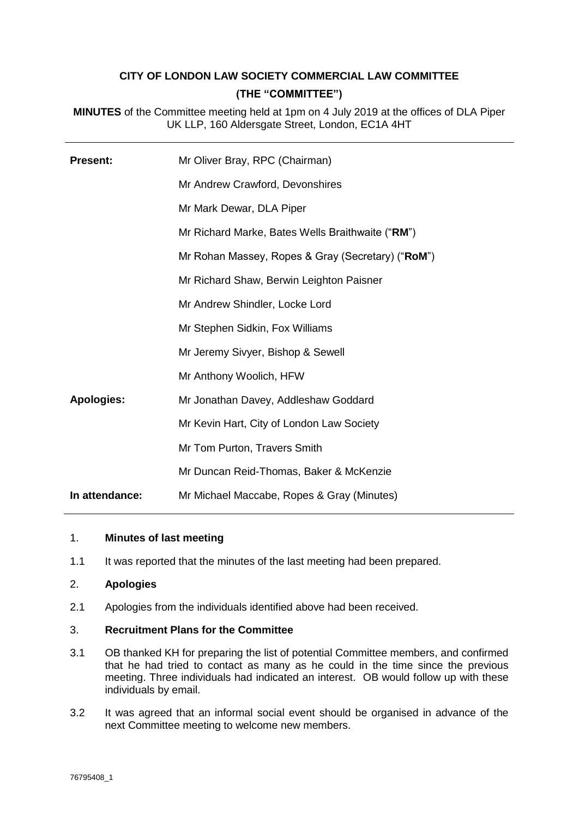# **CITY OF LONDON LAW SOCIETY COMMERCIAL LAW COMMITTEE (THE "COMMITTEE")**

**MINUTES** of the Committee meeting held at 1pm on 4 July 2019 at the offices of DLA Piper UK LLP, 160 Aldersgate Street, London, EC1A 4HT

| <b>Present:</b>   | Mr Oliver Bray, RPC (Chairman)                    |
|-------------------|---------------------------------------------------|
|                   | Mr Andrew Crawford, Devonshires                   |
|                   | Mr Mark Dewar, DLA Piper                          |
|                   | Mr Richard Marke, Bates Wells Braithwaite ("RM")  |
|                   | Mr Rohan Massey, Ropes & Gray (Secretary) ("RoM") |
|                   | Mr Richard Shaw, Berwin Leighton Paisner          |
|                   | Mr Andrew Shindler, Locke Lord                    |
|                   | Mr Stephen Sidkin, Fox Williams                   |
|                   | Mr Jeremy Sivyer, Bishop & Sewell                 |
|                   | Mr Anthony Woolich, HFW                           |
| <b>Apologies:</b> | Mr Jonathan Davey, Addleshaw Goddard              |
|                   | Mr Kevin Hart, City of London Law Society         |
|                   | Mr Tom Purton, Travers Smith                      |
|                   | Mr Duncan Reid-Thomas, Baker & McKenzie           |
| In attendance:    | Mr Michael Maccabe, Ropes & Gray (Minutes)        |

## 1. **Minutes of last meeting**

1.1 It was reported that the minutes of the last meeting had been prepared.

#### 2. **Apologies**

2.1 Apologies from the individuals identified above had been received.

#### 3. **Recruitment Plans for the Committee**

- 3.1 OB thanked KH for preparing the list of potential Committee members, and confirmed that he had tried to contact as many as he could in the time since the previous meeting. Three individuals had indicated an interest. OB would follow up with these individuals by email.
- 3.2 It was agreed that an informal social event should be organised in advance of the next Committee meeting to welcome new members.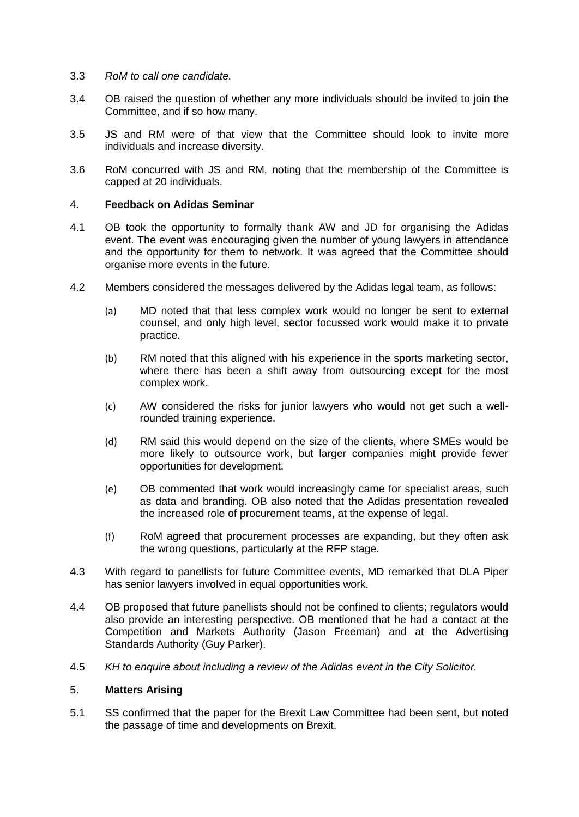- 3.3 *RoM to call one candidate.*
- 3.4 OB raised the question of whether any more individuals should be invited to join the Committee, and if so how many.
- 3.5 JS and RM were of that view that the Committee should look to invite more individuals and increase diversity.
- 3.6 RoM concurred with JS and RM, noting that the membership of the Committee is capped at 20 individuals.

## 4. **Feedback on Adidas Seminar**

- 4.1 OB took the opportunity to formally thank AW and JD for organising the Adidas event. The event was encouraging given the number of young lawyers in attendance and the opportunity for them to network. It was agreed that the Committee should organise more events in the future.
- 4.2 Members considered the messages delivered by the Adidas legal team, as follows:
	- (a) MD noted that that less complex work would no longer be sent to external counsel, and only high level, sector focussed work would make it to private practice.
	- (b) RM noted that this aligned with his experience in the sports marketing sector, where there has been a shift away from outsourcing except for the most complex work.
	- (c) AW considered the risks for junior lawyers who would not get such a wellrounded training experience.
	- (d) RM said this would depend on the size of the clients, where SMEs would be more likely to outsource work, but larger companies might provide fewer opportunities for development.
	- (e) OB commented that work would increasingly came for specialist areas, such as data and branding. OB also noted that the Adidas presentation revealed the increased role of procurement teams, at the expense of legal.
	- (f) RoM agreed that procurement processes are expanding, but they often ask the wrong questions, particularly at the RFP stage.
- 4.3 With regard to panellists for future Committee events, MD remarked that DLA Piper has senior lawyers involved in equal opportunities work.
- 4.4 OB proposed that future panellists should not be confined to clients; regulators would also provide an interesting perspective. OB mentioned that he had a contact at the Competition and Markets Authority (Jason Freeman) and at the Advertising Standards Authority (Guy Parker).
- 4.5 *KH to enquire about including a review of the Adidas event in the City Solicitor.*

# 5. **Matters Arising**

5.1 SS confirmed that the paper for the Brexit Law Committee had been sent, but noted the passage of time and developments on Brexit.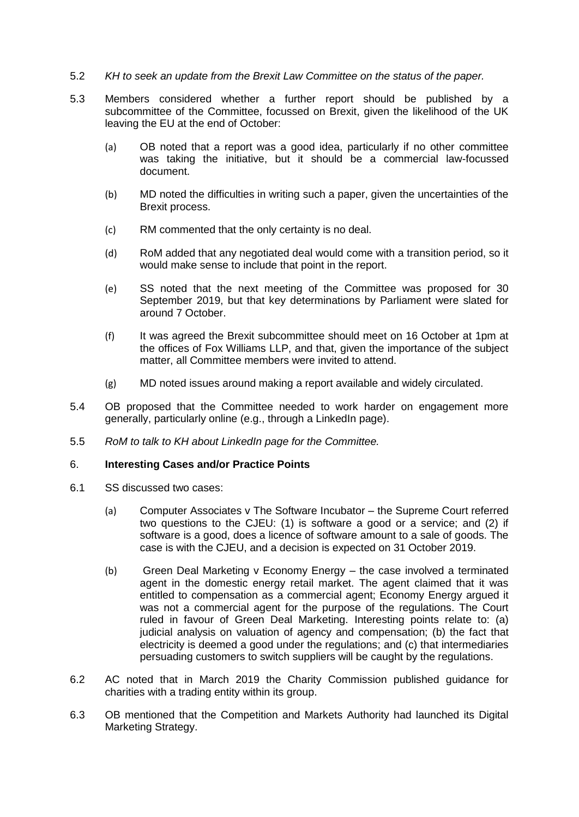## 5.2 *KH to seek an update from the Brexit Law Committee on the status of the paper.*

- 5.3 Members considered whether a further report should be published by a subcommittee of the Committee, focussed on Brexit, given the likelihood of the UK leaving the EU at the end of October:
	- (a) OB noted that a report was a good idea, particularly if no other committee was taking the initiative, but it should be a commercial law-focussed document.
	- (b) MD noted the difficulties in writing such a paper, given the uncertainties of the Brexit process.
	- (c) RM commented that the only certainty is no deal.
	- (d) RoM added that any negotiated deal would come with a transition period, so it would make sense to include that point in the report.
	- (e) SS noted that the next meeting of the Committee was proposed for 30 September 2019, but that key determinations by Parliament were slated for around 7 October.
	- (f) It was agreed the Brexit subcommittee should meet on 16 October at 1pm at the offices of Fox Williams LLP, and that, given the importance of the subject matter, all Committee members were invited to attend.
	- (g) MD noted issues around making a report available and widely circulated.
- 5.4 OB proposed that the Committee needed to work harder on engagement more generally, particularly online (e.g., through a LinkedIn page).
- 5.5 *RoM to talk to KH about LinkedIn page for the Committee.*

#### 6. **Interesting Cases and/or Practice Points**

- 6.1 SS discussed two cases:
	- (a) Computer Associates v The Software Incubator the Supreme Court referred two questions to the CJEU: (1) is software a good or a service; and (2) if software is a good, does a licence of software amount to a sale of goods. The case is with the CJEU, and a decision is expected on 31 October 2019.
	- (b) Green Deal Marketing v Economy Energy the case involved a terminated agent in the domestic energy retail market. The agent claimed that it was entitled to compensation as a commercial agent; Economy Energy argued it was not a commercial agent for the purpose of the regulations. The Court ruled in favour of Green Deal Marketing. Interesting points relate to: (a) judicial analysis on valuation of agency and compensation; (b) the fact that electricity is deemed a good under the regulations; and (c) that intermediaries persuading customers to switch suppliers will be caught by the regulations.
- 6.2 AC noted that in March 2019 the Charity Commission published guidance for charities with a trading entity within its group.
- 6.3 OB mentioned that the Competition and Markets Authority had launched its Digital Marketing Strategy.